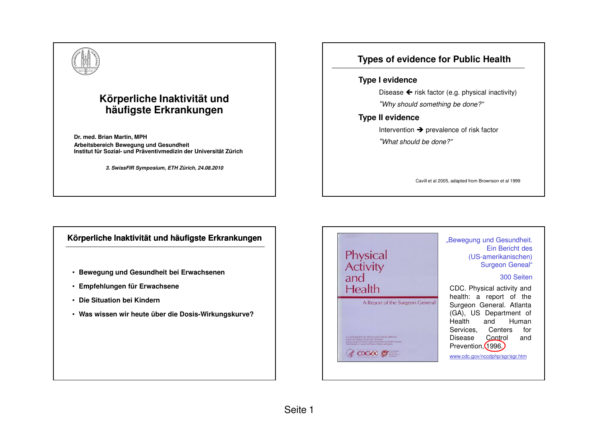# **Körperliche Inaktivität und häufigste Erkrankungen**

**Dr. med. Brian Martin, MPH Arbeitsbereich Bewegung und GesundheitInstitut für Sozial- und Präventivmedizin der Universität Zürich**

**3. SwissFIR Symposium, ETH Zürich, 24.08.2010**

## **Types of evidence for Public Health**

#### **Type I evidence**

Disease  $\leftarrow$  risk factor (e.g. physical inactivity) "Why should something be done?"

### **Type II evidence**

Intervention → prevalence of risk factor<br>" "What should be done?"

Cavill et al 2005, adapted from Brownson et al 1999

## **Körperliche Inaktivität und häufigste Erkrankungen**

- **Bewegung und Gesundheit bei Erwachsenen**
- **Empfehlungen für Erwachsene**
- **Die Situation bei Kindern**
- **Was wissen wir heute über die Dosis-Wirkungskurve?**

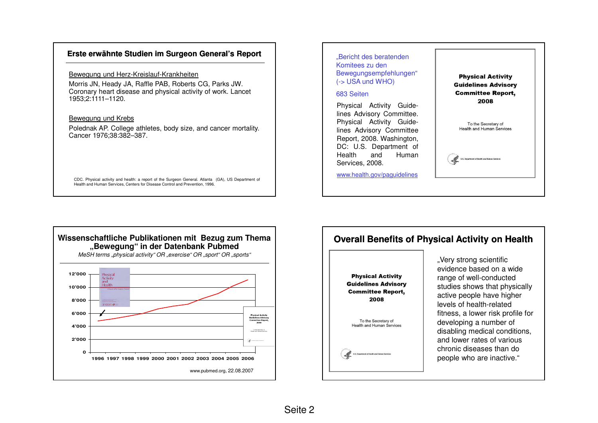## **Erste erwähnte Studien im Surgeon General's Report**

Bewegung und Herz-Kreislauf-Krankheiten

 Morris JN, Heady JA, Raffle PAB, Roberts CG, Parks JW. Coronary heart disease and physical activity of work. Lancet 1953;2:1111–1120.

#### Bewegung und Krebs

 Polednak AP. College athletes, body size, and cancer mortality. Cancer 1976;38:382–387.

CDC. Physical activity and health: <sup>a</sup> report of the Surgeon General. Atlanta (GA), US Department of Health and Human Services, Centers for Disease Control and Prevention, 1996.





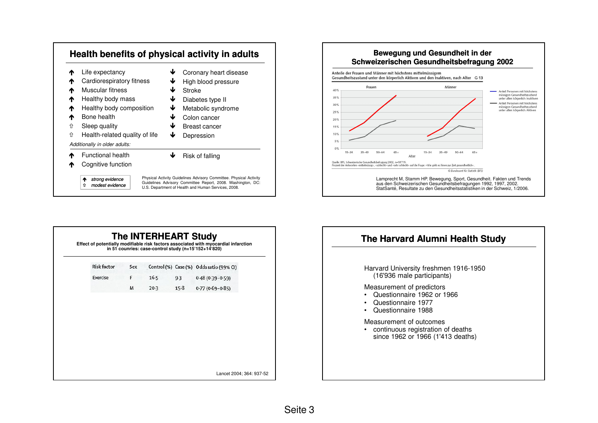



| <b>Risk factor</b> | Sex |        |        | Control (%) Case (%) Odds ratio (99% CI) |
|--------------------|-----|--------|--------|------------------------------------------|
| Exercise           | F   | $16-5$ | 9.3    | $0.48(0.39 - 0.59)$                      |
|                    | M   | $20-3$ | $15-8$ | $0.77(0.69 - 0.85)$                      |
|                    |     |        |        |                                          |

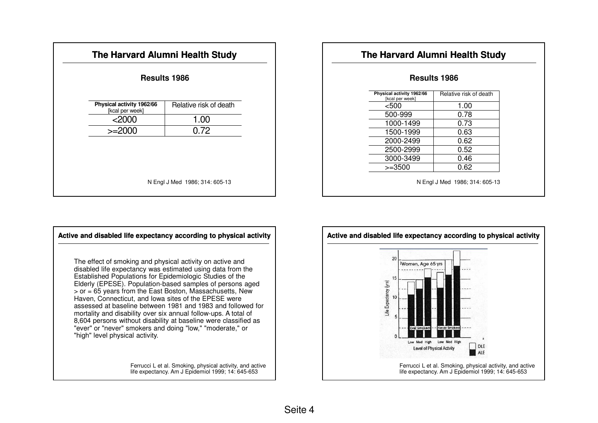| The Harvard Alumni Health Study              |                        |  |  |  |  |
|----------------------------------------------|------------------------|--|--|--|--|
| <b>Results 1986</b>                          |                        |  |  |  |  |
| Physical activity 1962/66<br>[kcal per week] | Relative risk of death |  |  |  |  |
| $<$ 2000                                     | 1.00                   |  |  |  |  |
| $>=2000$                                     | 0.72                   |  |  |  |  |
|                                              |                        |  |  |  |  |
|                                              |                        |  |  |  |  |
|                                              |                        |  |  |  |  |
| N Engl J Med 1986; 314: 605-13               |                        |  |  |  |  |
|                                              |                        |  |  |  |  |

## **The Harvard Alumni Health Study**

## **Results 1986**

| Physical activity 1962/66<br>[kcal per week] | Relative risk of death |
|----------------------------------------------|------------------------|
| $500$                                        | 1.00                   |
| 500-999                                      | 0.78                   |
| 1000-1499                                    | 0.73                   |
| 1500-1999                                    | 0.63                   |
| 2000-2499                                    | 0.62                   |
| 2500-2999                                    | 0.52                   |
| 3000-3499                                    | 0.46                   |
| $>=3500$                                     | 0.62                   |
|                                              |                        |

N Engl J Med 1986; 314: 605-13



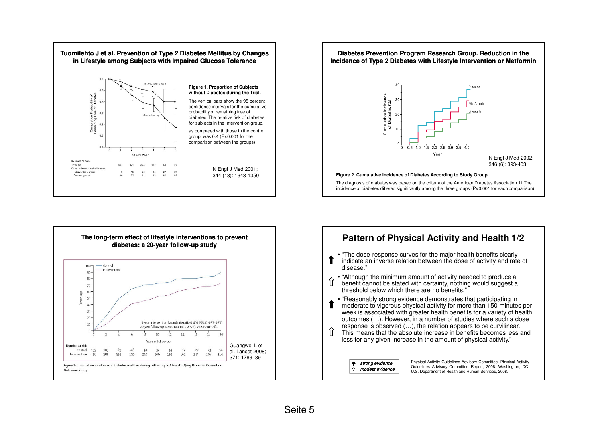





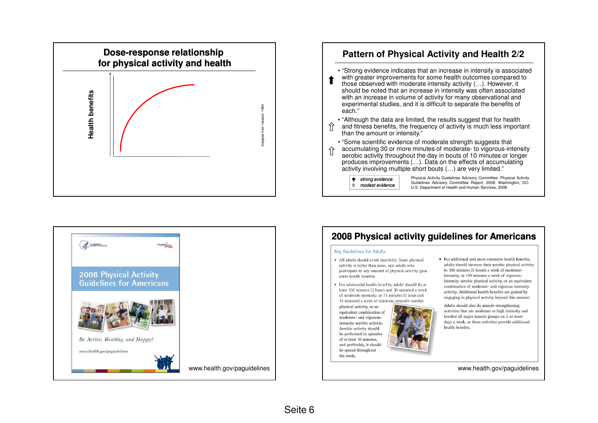

## **Pattern of Physical Activity and Health 2/2**

• "Strong evidence indicates that an increase in intensity is associated with greater improvements for some health outcomes compared to

those observed with moderate intensity activity (…). However, it should be noted that an increase in intensity was often associated with an increase in volume of activity for many observational and experimental studies, and it is difficult to separate the benefits of each."

• "Although the data are limited, the results suggest that for health

and fitness benefits, the frequency of activity is much less important than the amount or intensity."

• "Some scientific evidence of moderate strength suggests that accumulating 30 or more minutes of moderate- to vigorous-intensity aerobic activity throughout the day in bouts of 10 minutes or longer produces improvements (…). Data on the effects of accumulating activity involving multiple short bouts (…) are very limited."

 $\uparrow$  strong evidence modest evidence Physical Activity Guidelines Advisory Committee. Physical Activity Guidelines Advisory Committee Report, 2008. Washington, DC: U.S. Department of Health and Human Services, 2008.



# **2008 Physical activity guidelines for Americans**

#### **Key Guidelines for Adults**

- · All adults should avoid inactivity. Some physical activity is better than none, and adults who participate in any amount of physical activity gain some health benefits.
- · For substantial health benefits, adults should do at least 150 minutes (2 hours and 30 minutes) a week of moderate-intensity, or 75 minutes (1 hour and 15 minutes) a week of vigorous-intensity aerobic

physical activity, or an equivalent combination of moderate- and vigorousintensity aerobic activity. Aerobic activity should be performed in episodes of at least 10 minutes. and preferably, it should be spread throughout the week.



• For additional and more extensive health benefits, adults should increase their aerobic physical activity to 300 minutes (5 hours) a week of moderateintensity, or 150 minutes a week of vigorousintensity aerobic physical activity, or an equivalent combination of moderate- and vigorous-intensity activity. Additional health benefits are gained by engaging in physical activity beyond this amount.

Adults should also do muscle-strengthening activities that are moderate or high intensity and involve all major muscle groups on 2 or more days a week, as these activities provide additional health benefits.

www.health.gov/paguidelines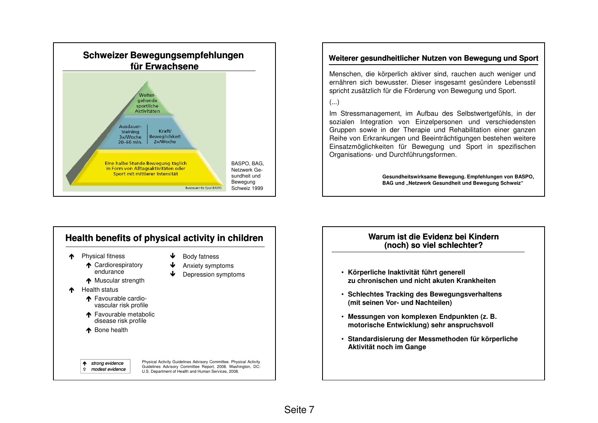

## **Weiterer gesundheitlicher Nutzen von Bewegung und Sport**

Menschen, die körperlich aktiver sind, rauchen auch weniger und ernähren sich bewusster. Dieser insgesamt gesündere Lebensstil spricht zusätzlich für die Förderung von Bewegung und Sport.

#### (...)

Im Stressmanagement, im Aufbau des Selbstwertgefühls, in der sozialen Integration von Einzelpersonen und verschiedensten Gruppen sowie in der Therapie und Rehabilitation einer ganzen Reihe von Erkrankungen und Beeinträchtigungen bestehen weitere Einsatzmöglichkeiten für Bewegung und Sport in spezifischenOrganisations- und Durchführungsformen.

> **Gesundheitswirksame Bewegung. Empfehlungen von BASPO, BAG und "Netzwerk Gesundheit und Bewegung Schweiz"**



### **Warum ist die Evidenz bei Kindern (noch) so viel schlechter?**

- **Körperliche Inaktivität führt generell zu chronischen und nicht akuten Krankheiten**
- **Schlechtes Tracking des Bewegungsverhaltens(mit seinen Vor- und Nachteilen)**
- **Messungen von komplexen Endpunkten (z. B. motorische Entwicklung) sehr anspruchsvoll**
- **Standardisierung der Messmethoden für körperliche Aktivität noch im Gange**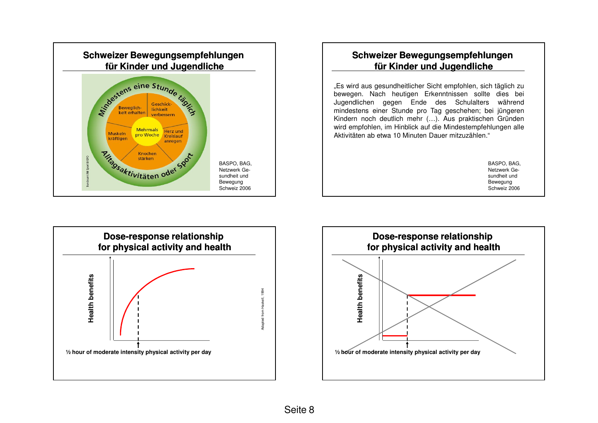

## **Schweizer Bewegungsempfehlungen für Kinder und Jugendliche**

"Es wird aus gesundheitlicher Sicht empfohlen, sich täglich zu bewegen. Nach heutigen Erkenntnissen sollte dies bei Jugendlichen gegen Ende des Schulalters während mindestens einer Stunde pro Tag geschehen; bei jüngeren Kindern noch deutlich mehr (…). Aus praktischen Gründen wird empfohlen, im Hinblick auf die Mindestempfehlungen alleAktivitäten ab etwa 10 Minuten Dauer mitzuzählen."

> BASPO, BAG, Netzwerk Gesundheit und Bewegung Schweiz 2006



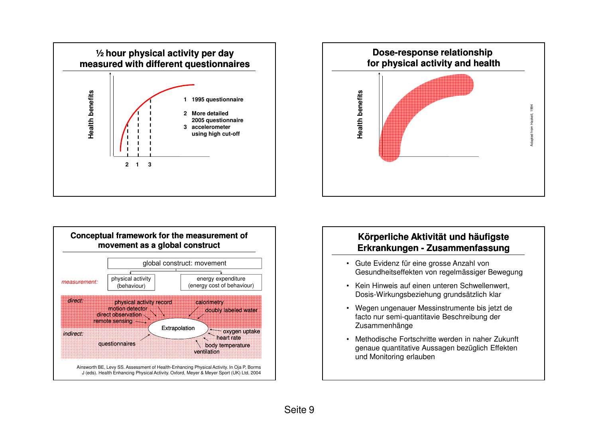





## **Körperliche Aktivität und häufigste Erkrankungen - Zusammenfassung**

- Gute Evidenz für eine grosse Anzahl von Gesundheitseffekten von regelmässiger Bewegung
- Kein Hinweis auf einen unteren Schwellenwert, Dosis-Wirkungsbeziehung grundsätzlich klar
- Wegen ungenauer Messinstrumente bis jetzt de facto nur semi-quantitavie Beschreibung der Zusammenhänge
- • Methodische Fortschritte werden in naher Zukunft genaue quantitative Aussagen bezüglich Effekten und Monitoring erlauben